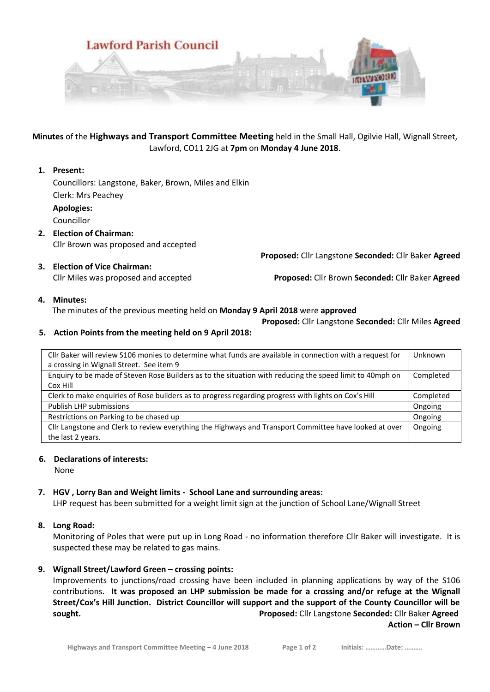

**Minutes** of the **Highways and Transport Committee Meeting** held in the Small Hall, Ogilvie Hall, Wignall Street, Lawford, CO11 2JG at **7pm** on **Monday 4 June 2018**.

## **1. Present:**

Councillors: Langstone, Baker, Brown, Miles and Elkin Clerk: Mrs Peachey **Apologies:**

Councillor

- **2. Election of Chairman:** Cllr Brown was proposed and accepted
- **3. Election of Vice Chairman:** Cllr Miles was proposed and accepted **Proposed:** Cllr Brown **Seconded:** Cllr Baker **Agreed**

 **Proposed:** Cllr Langstone **Seconded:** Cllr Baker **Agreed**

**4. Minutes:**

The minutes of the previous meeting held on **Monday 9 April 2018** were **approved**

 **Proposed:** Cllr Langstone **Seconded:** Cllr Miles **Agreed**

## **5. Action Points from the meeting held on 9 April 2018:**

| Cllr Baker will review S106 monies to determine what funds are available in connection with a request for<br>a crossing in Wignall Street. See item 9 | Unknown   |
|-------------------------------------------------------------------------------------------------------------------------------------------------------|-----------|
| Enquiry to be made of Steven Rose Builders as to the situation with reducing the speed limit to 40mph on                                              | Completed |
| Cox Hill                                                                                                                                              |           |
| Clerk to make enquiries of Rose builders as to progress regarding progress with lights on Cox's Hill                                                  | Completed |
| <b>Publish LHP submissions</b>                                                                                                                        | Ongoing   |
| Restrictions on Parking to be chased up                                                                                                               | Ongoing   |
| Cllr Langstone and Clerk to review everything the Highways and Transport Committee have looked at over                                                | Ongoing   |
| the last 2 years.                                                                                                                                     |           |

## **6. Declarations of interests:**

None

## **7. HGV , Lorry Ban and Weight limits - School Lane and surrounding areas:**

LHP request has been submitted for a weight limit sign at the junction of School Lane/Wignall Street

## **8. Long Road:**

Monitoring of Poles that were put up in Long Road - no information therefore Cllr Baker will investigate. It is suspected these may be related to gas mains.

## **9. Wignall Street/Lawford Green – crossing points:**

Improvements to junctions/road crossing have been included in planning applications by way of the S106 contributions. I**t was proposed an LHP submission be made for a crossing and/or refuge at the Wignall Street/Cox's Hill Junction. District Councillor will support and the support of the County Councillor will be sought. Proposed:** Cllr Langstone **Seconded:** Cllr Baker **Agreed**

**Action – Cllr Brown**